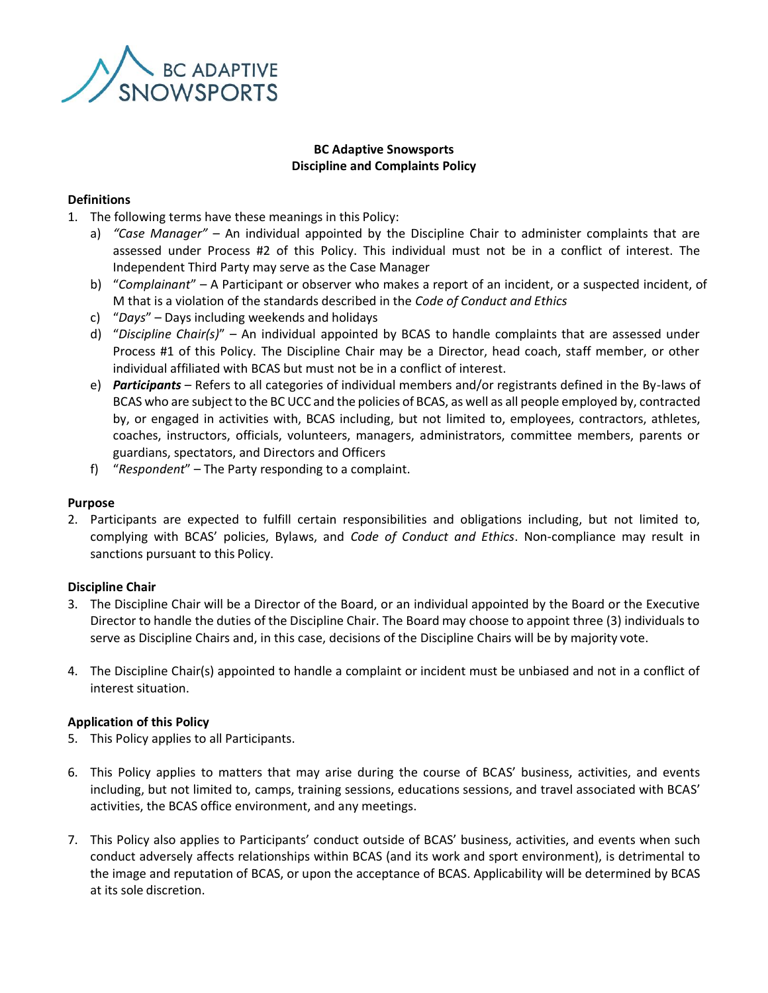

# **BC Adaptive Snowsports Discipline and Complaints Policy**

#### **Definitions**

- 1. The following terms have these meanings in this Policy:
	- a) *"Case Manager"*  An individual appointed by the Discipline Chair to administer complaints that are assessed under Process #2 of this Policy. This individual must not be in a conflict of interest. The Independent Third Party may serve as the Case Manager
	- b) "*Complainant*" A Participant or observer who makes a report of an incident, or a suspected incident, of M that is a violation of the standards described in the *Code of Conduct and Ethics*
	- c) "*Days*" Days including weekends and holidays
	- d) "*Discipline Chair(s)*" An individual appointed by BCAS to handle complaints that are assessed under Process #1 of this Policy. The Discipline Chair may be a Director, head coach, staff member, or other individual affiliated with BCAS but must not be in a conflict of interest.
	- e) *Participants* Refers to all categories of individual members and/or registrants defined in the By-laws of BCAS who are subject to the BC UCC and the policies of BCAS, as well as all people employed by, contracted by, or engaged in activities with, BCAS including, but not limited to, employees, contractors, athletes, coaches, instructors, officials, volunteers, managers, administrators, committee members, parents or guardians, spectators, and Directors and Officers
	- f) "*Respondent*" The Party responding to a complaint.

#### **Purpose**

2. Participants are expected to fulfill certain responsibilities and obligations including, but not limited to, complying with BCAS' policies, Bylaws, and *Code of Conduct and Ethics*. Non-compliance may result in sanctions pursuant to this Policy.

#### **Discipline Chair**

- 3. The Discipline Chair will be a Director of the Board, or an individual appointed by the Board or the Executive Director to handle the duties of the Discipline Chair. The Board may choose to appoint three (3) individuals to serve as Discipline Chairs and, in this case, decisions of the Discipline Chairs will be by majority vote.
- 4. The Discipline Chair(s) appointed to handle a complaint or incident must be unbiased and not in a conflict of interest situation.

#### **Application of this Policy**

- 5. This Policy applies to all Participants.
- 6. This Policy applies to matters that may arise during the course of BCAS' business, activities, and events including, but not limited to, camps, training sessions, educations sessions, and travel associated with BCAS' activities, the BCAS office environment, and any meetings.
- 7. This Policy also applies to Participants' conduct outside of BCAS' business, activities, and events when such conduct adversely affects relationships within BCAS (and its work and sport environment), is detrimental to the image and reputation of BCAS, or upon the acceptance of BCAS. Applicability will be determined by BCAS at its sole discretion.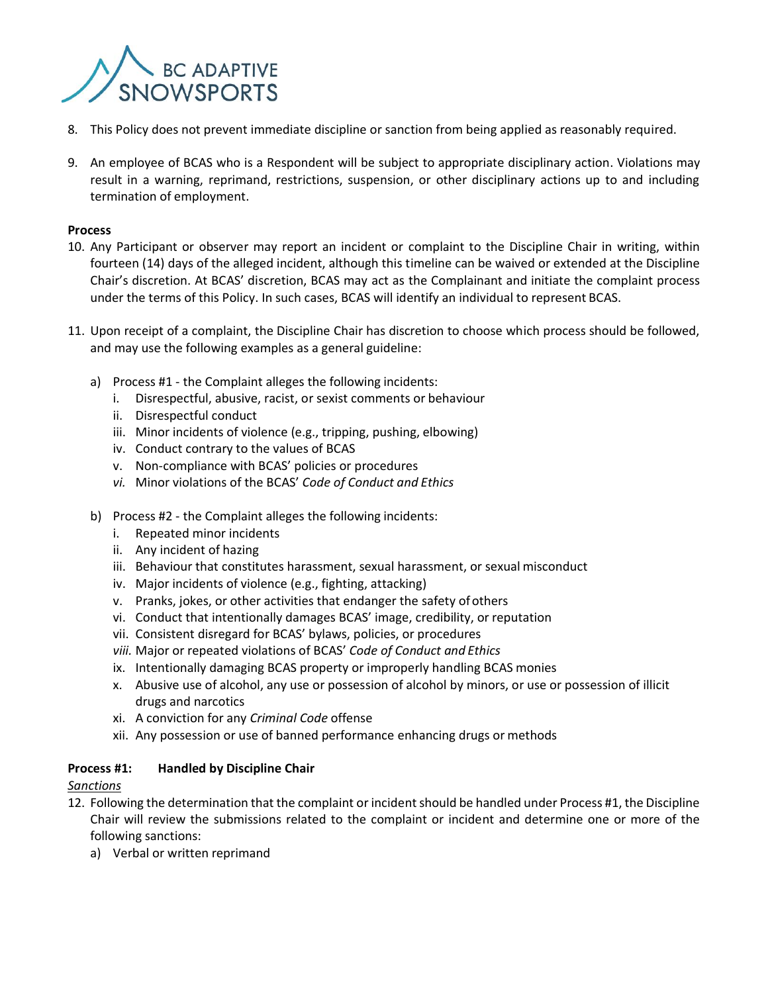

- 8. This Policy does not prevent immediate discipline or sanction from being applied as reasonably required.
- 9. An employee of BCAS who is a Respondent will be subject to appropriate disciplinary action. Violations may result in a warning, reprimand, restrictions, suspension, or other disciplinary actions up to and including termination of employment.

#### **Process**

- 10. Any Participant or observer may report an incident or complaint to the Discipline Chair in writing, within fourteen (14) days of the alleged incident, although this timeline can be waived or extended at the Discipline Chair's discretion. At BCAS' discretion, BCAS may act as the Complainant and initiate the complaint process under the terms of this Policy. In such cases, BCAS will identify an individual to represent BCAS.
- 11. Upon receipt of a complaint, the Discipline Chair has discretion to choose which process should be followed, and may use the following examples as a general guideline:
	- a) Process #1 the Complaint alleges the following incidents:
		- i. Disrespectful, abusive, racist, or sexist comments or behaviour
		- ii. Disrespectful conduct
		- iii. Minor incidents of violence (e.g., tripping, pushing, elbowing)
		- iv. Conduct contrary to the values of BCAS
		- v. Non-compliance with BCAS' policies or procedures
		- *vi.* Minor violations of the BCAS' *Code of Conduct and Ethics*
	- b) Process #2 the Complaint alleges the following incidents:
		- i. Repeated minor incidents
		- ii. Any incident of hazing
		- iii. Behaviour that constitutes harassment, sexual harassment, or sexual misconduct
		- iv. Major incidents of violence (e.g., fighting, attacking)
		- v. Pranks, jokes, or other activities that endanger the safety ofothers
		- vi. Conduct that intentionally damages BCAS' image, credibility, or reputation
		- vii. Consistent disregard for BCAS' bylaws, policies, or procedures
		- *viii.* Major or repeated violations of BCAS' *Code of Conduct and Ethics*
		- ix. Intentionally damaging BCAS property or improperly handling BCAS monies
		- x. Abusive use of alcohol, any use or possession of alcohol by minors, or use or possession of illicit drugs and narcotics
		- xi. A conviction for any *Criminal Code* offense
		- xii. Any possession or use of banned performance enhancing drugs or methods

# **Process #1: Handled by Discipline Chair**

# *Sanctions*

- 12. Following the determination that the complaint or incident should be handled under Process #1, the Discipline Chair will review the submissions related to the complaint or incident and determine one or more of the following sanctions:
	- a) Verbal or written reprimand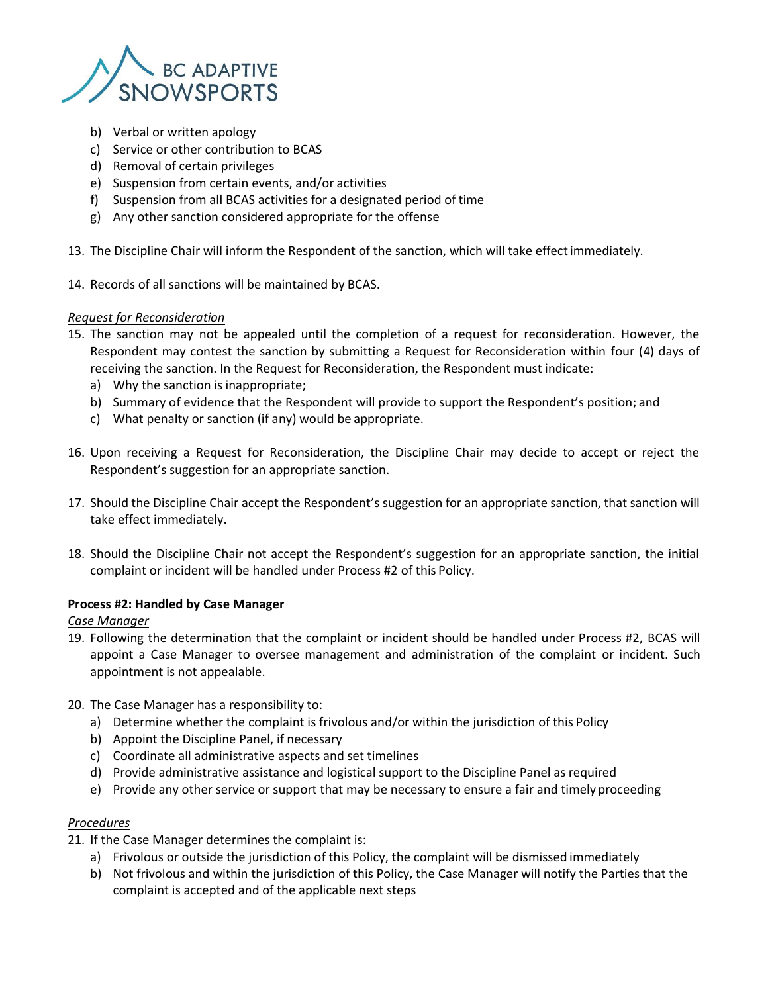

- b) Verbal or written apology
- c) Service or other contribution to BCAS
- d) Removal of certain privileges
- e) Suspension from certain events, and/or activities
- f) Suspension from all BCAS activities for a designated period of time
- g) Any other sanction considered appropriate for the offense
- 13. The Discipline Chair will inform the Respondent of the sanction, which will take effectimmediately.
- 14. Records of all sanctions will be maintained by BCAS.

# *Request for Reconsideration*

- 15. The sanction may not be appealed until the completion of a request for reconsideration. However, the Respondent may contest the sanction by submitting a Request for Reconsideration within four (4) days of receiving the sanction. In the Request for Reconsideration, the Respondent must indicate:
	- a) Why the sanction is inappropriate;
	- b) Summary of evidence that the Respondent will provide to support the Respondent's position; and
	- c) What penalty or sanction (if any) would be appropriate.
- 16. Upon receiving a Request for Reconsideration, the Discipline Chair may decide to accept or reject the Respondent's suggestion for an appropriate sanction.
- 17. Should the Discipline Chair accept the Respondent's suggestion for an appropriate sanction, that sanction will take effect immediately.
- 18. Should the Discipline Chair not accept the Respondent's suggestion for an appropriate sanction, the initial complaint or incident will be handled under Process #2 of this Policy.

# **Process #2: Handled by Case Manager**

# *Case Manager*

- 19. Following the determination that the complaint or incident should be handled under Process #2, BCAS will appoint a Case Manager to oversee management and administration of the complaint or incident. Such appointment is not appealable.
- 20. The Case Manager has a responsibility to:
	- a) Determine whether the complaint is frivolous and/or within the jurisdiction of this Policy
	- b) Appoint the Discipline Panel, if necessary
	- c) Coordinate all administrative aspects and set timelines
	- d) Provide administrative assistance and logistical support to the Discipline Panel as required
	- e) Provide any other service or support that may be necessary to ensure a fair and timely proceeding

# *Procedures*

- 21. If the Case Manager determines the complaint is:
	- a) Frivolous or outside the jurisdiction of this Policy, the complaint will be dismissed immediately
	- b) Not frivolous and within the jurisdiction of this Policy, the Case Manager will notify the Parties that the complaint is accepted and of the applicable next steps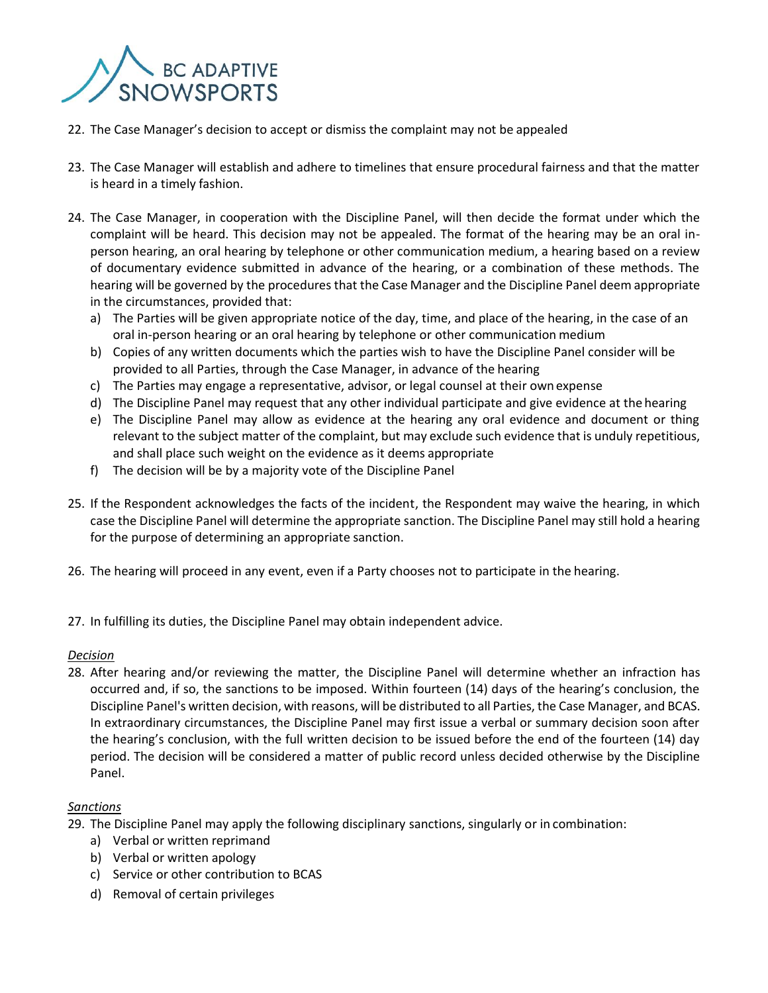

- 22. The Case Manager's decision to accept or dismiss the complaint may not be appealed
- 23. The Case Manager will establish and adhere to timelines that ensure procedural fairness and that the matter is heard in a timely fashion.
- 24. The Case Manager, in cooperation with the Discipline Panel, will then decide the format under which the complaint will be heard. This decision may not be appealed. The format of the hearing may be an oral inperson hearing, an oral hearing by telephone or other communication medium, a hearing based on a review of documentary evidence submitted in advance of the hearing, or a combination of these methods. The hearing will be governed by the procedures that the Case Manager and the Discipline Panel deem appropriate in the circumstances, provided that:
	- a) The Parties will be given appropriate notice of the day, time, and place of the hearing, in the case of an oral in-person hearing or an oral hearing by telephone or other communication medium
	- b) Copies of any written documents which the parties wish to have the Discipline Panel consider will be provided to all Parties, through the Case Manager, in advance of the hearing
	- c) The Parties may engage a representative, advisor, or legal counsel at their own expense
	- d) The Discipline Panel may request that any other individual participate and give evidence at the hearing
	- e) The Discipline Panel may allow as evidence at the hearing any oral evidence and document or thing relevant to the subject matter of the complaint, but may exclude such evidence that is unduly repetitious, and shall place such weight on the evidence as it deems appropriate
	- f) The decision will be by a majority vote of the Discipline Panel
- 25. If the Respondent acknowledges the facts of the incident, the Respondent may waive the hearing, in which case the Discipline Panel will determine the appropriate sanction. The Discipline Panel may still hold a hearing for the purpose of determining an appropriate sanction.
- 26. The hearing will proceed in any event, even if a Party chooses not to participate in the hearing.
- 27. In fulfilling its duties, the Discipline Panel may obtain independent advice.

# *Decision*

28. After hearing and/or reviewing the matter, the Discipline Panel will determine whether an infraction has occurred and, if so, the sanctions to be imposed. Within fourteen (14) days of the hearing's conclusion, the Discipline Panel's written decision, with reasons, will be distributed to all Parties, the Case Manager, and BCAS. In extraordinary circumstances, the Discipline Panel may first issue a verbal or summary decision soon after the hearing's conclusion, with the full written decision to be issued before the end of the fourteen (14) day period. The decision will be considered a matter of public record unless decided otherwise by the Discipline Panel.

# *Sanctions*

29. The Discipline Panel may apply the following disciplinary sanctions, singularly or in combination:

- a) Verbal or written reprimand
- b) Verbal or written apology
- c) Service or other contribution to BCAS
- d) Removal of certain privileges